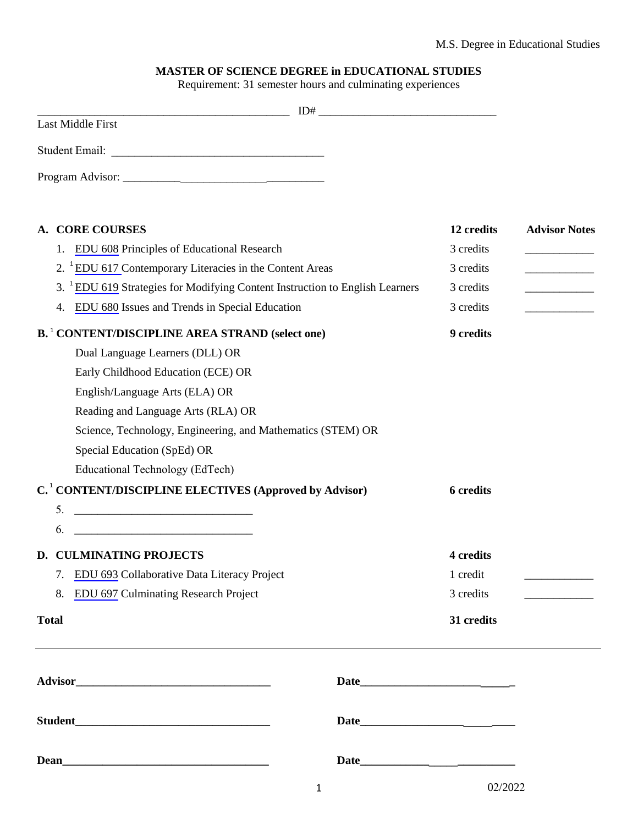## **MASTER OF SCIENCE DEGREE in EDUCATIONAL STUDIES**

Requirement: 31 semester hours and culminating experiences

| <u> 2008 - Andrea Andrew Maria (h. 18</u>                                                |   |                  |                          |
|------------------------------------------------------------------------------------------|---|------------------|--------------------------|
| Last Middle First                                                                        |   |                  |                          |
|                                                                                          |   |                  |                          |
|                                                                                          |   |                  |                          |
| <b>CORE COURSES</b><br>A.                                                                |   | 12 credits       | <b>Advisor Notes</b>     |
| EDU 608 Principles of Educational Research<br>1.                                         |   | 3 credits        |                          |
| 2. <sup>1</sup> EDU 617 Contemporary Literacies in the Content Areas                     |   | 3 credits        | $\overline{\phantom{a}}$ |
| 3. <sup>1</sup> EDU 619 Strategies for Modifying Content Instruction to English Learners |   | 3 credits        |                          |
| EDU 680 Issues and Trends in Special Education<br>4.                                     |   | 3 credits        |                          |
| <b>B.</b> <sup>1</sup> CONTENT/DISCIPLINE AREA STRAND (select one)                       |   | 9 credits        |                          |
| Dual Language Learners (DLL) OR                                                          |   |                  |                          |
| Early Childhood Education (ECE) OR                                                       |   |                  |                          |
| English/Language Arts (ELA) OR                                                           |   |                  |                          |
| Reading and Language Arts (RLA) OR                                                       |   |                  |                          |
| Science, Technology, Engineering, and Mathematics (STEM) OR                              |   |                  |                          |
| Special Education (SpEd) OR                                                              |   |                  |                          |
| Educational Technology (EdTech)                                                          |   |                  |                          |
| C. <sup>1</sup> CONTENT/DISCIPLINE ELECTIVES (Approved by Advisor)                       |   | <b>6</b> credits |                          |
| 5.                                                                                       |   |                  |                          |
| 6.                                                                                       |   |                  |                          |
| D. CULMINATING PROJECTS                                                                  |   | 4 credits        |                          |
| EDU 693 Collaborative Data Literacy Project<br>7.                                        |   | 1 credit         |                          |
| EDU 697 Culminating Research Project<br>8.                                               |   | 3 credits        |                          |
| <b>Total</b>                                                                             |   | 31 credits       |                          |
|                                                                                          |   |                  |                          |
|                                                                                          |   |                  |                          |
|                                                                                          |   |                  |                          |
|                                                                                          |   |                  |                          |
|                                                                                          | 1 | 02/2022          |                          |